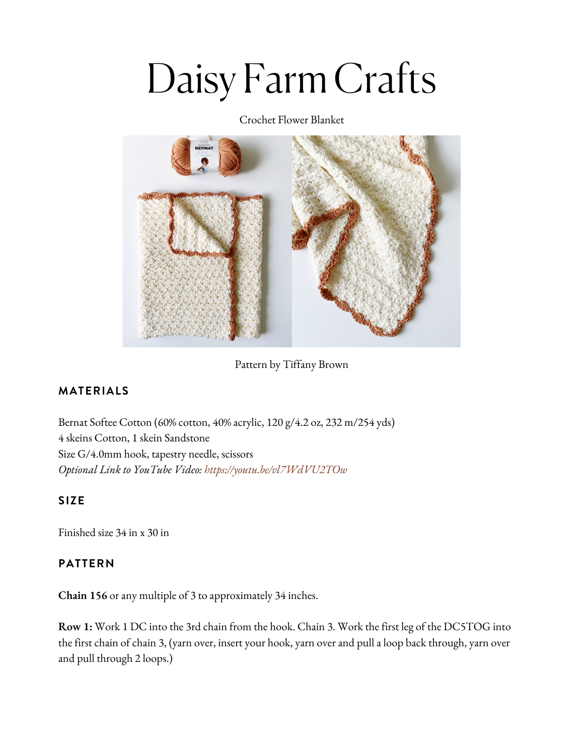# Daisy Farm Crafts

Crochet Flower Blanket



Pattern by Tiffany Brown

### **MATERIALS**

Bernat Softee [Cotton](https://www.yarnspirations.com/bernat-bundle-up-small-ball/161274.html?utm_source=Influencer_DFC&utm_medium=blog&utm_campaign=2022_02_26__bernat-bundle-up-small-ball) (60% cotton, 40% acrylic, 120 g/4.2 oz, 232 m/254 yds) 4 skeins Cotton, 1 skein [Sandstone](https://www.yarnspirations.com/bernat-bundle-up-small-ball/161274.html?utm_source=Influencer_DFC&utm_medium=blog&utm_campaign=2022_02_26__bernat-bundle-up-small-ball) Size [G/4.0mm](https://www.yarnspirations.com/bernat-bundle-up-small-ball/161274.html?utm_source=Influencer_DFC&utm_medium=blog&utm_campaign=2022_02_26__bernat-bundle-up-small-ball) hook, tapestry needle, scissors *Optional Link to YouTube Video: https://youtu.be/vl7WdVU2TOw*

#### **SIZE**

Finished size 34 in x 30 in

#### **PATTERN**

**Chain 156** or any multiple of 3 to approximately 34 inches.

**Row 1:** Work 1 DC into the 3rd chain from the hook. Chain 3. Work the first leg of the DC5TOG into the first chain of chain 3, (yarn over, insert your hook, yarn over and pull a loop back through, yarn over and pull through 2 loops.)